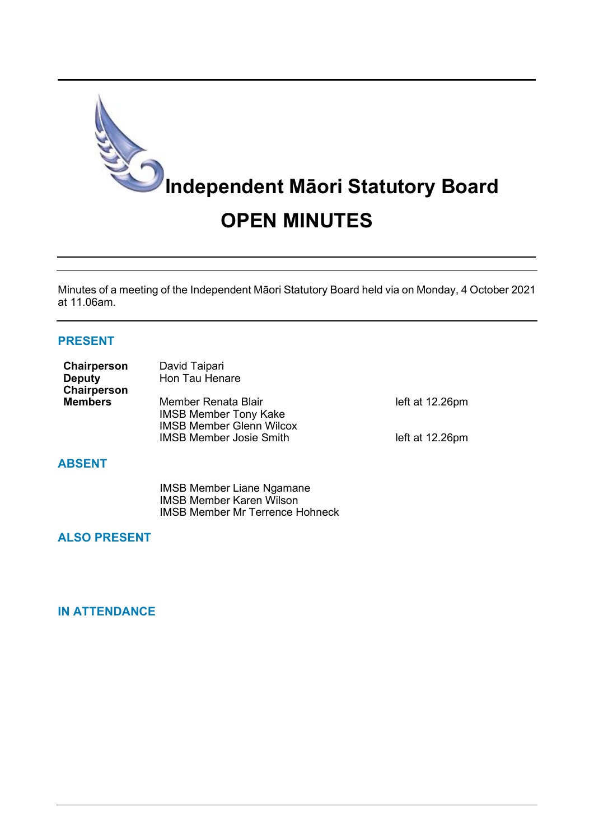

Minutes of a meeting of the Independent Māori Statutory Board held via on Monday, 4 October 2021 at 11.06am.

## **PRESENT**

| Chairperson<br><b>Deputy</b><br>Chairperson | David Taipari<br>Hon Tau Henare                                                        |                 |
|---------------------------------------------|----------------------------------------------------------------------------------------|-----------------|
| <b>Members</b>                              | Member Renata Blair<br><b>IMSB Member Tony Kake</b><br><b>IMSB Member Glenn Wilcox</b> | left at 12.26pm |
|                                             | <b>IMSB Member Josie Smith</b>                                                         | left at 12.26pm |

# **ABSENT**

IMSB Member Liane Ngamane IMSB Member Karen Wilson IMSB Member Mr Terrence Hohneck

#### **ALSO PRESENT**

#### **IN ATTENDANCE**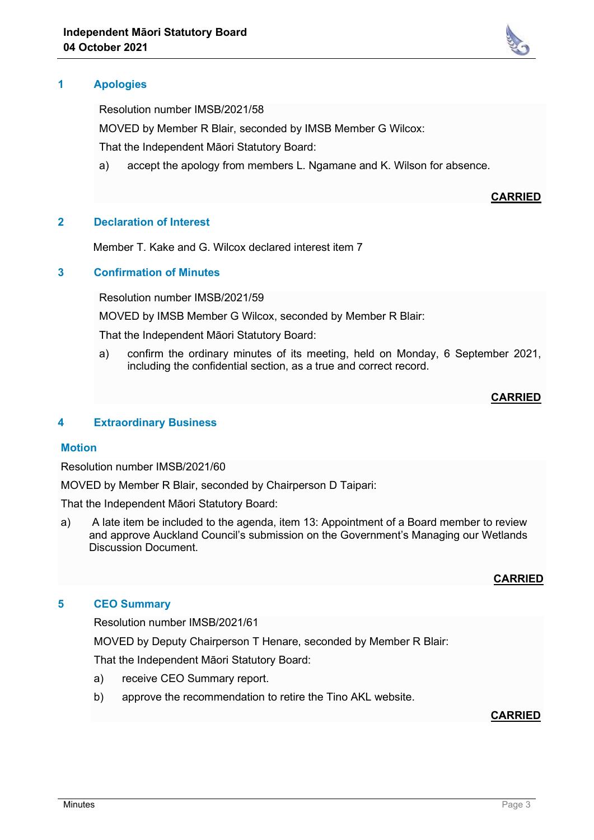# **1 Apologies**

Resolution number IMSB/2021/58

MOVED by Member R Blair, seconded by IMSB Member G Wilcox:

That the Independent Māori Statutory Board:

a) accept the apology from members L. Ngamane and K. Wilson for absence.

# **2 Declaration of Interest**

Member T. Kake and G. Wilcox declared interest item 7

#### **3 Confirmation of Minutes**

Resolution number IMSB/2021/59

MOVED by IMSB Member G Wilcox, seconded by Member R Blair:

That the Independent Māori Statutory Board:

a) confirm the ordinary minutes of its meeting, held on Monday, 6 September 2021, including the confidential section, as a true and correct record.

#### **CARRIED**

#### **4 Extraordinary Business**

#### **Motion**

Resolution number IMSB/2021/60

MOVED by Member R Blair, seconded by Chairperson D Taipari:

That the Independent Māori Statutory Board:

a) A late item be included to the agenda, item 13: Appointment of a Board member to review and approve Auckland Council's submission on the Government's Managing our Wetlands Discussion Document.

#### **CARRIED**

#### **5 CEO Summary**

Resolution number IMSB/2021/61

MOVED by Deputy Chairperson T Henare, seconded by Member R Blair:

That the Independent Māori Statutory Board:

- a) receive CEO Summary report.
- b) approve the recommendation to retire the Tino AKL website.

# **CARRIED**



**CARRIED**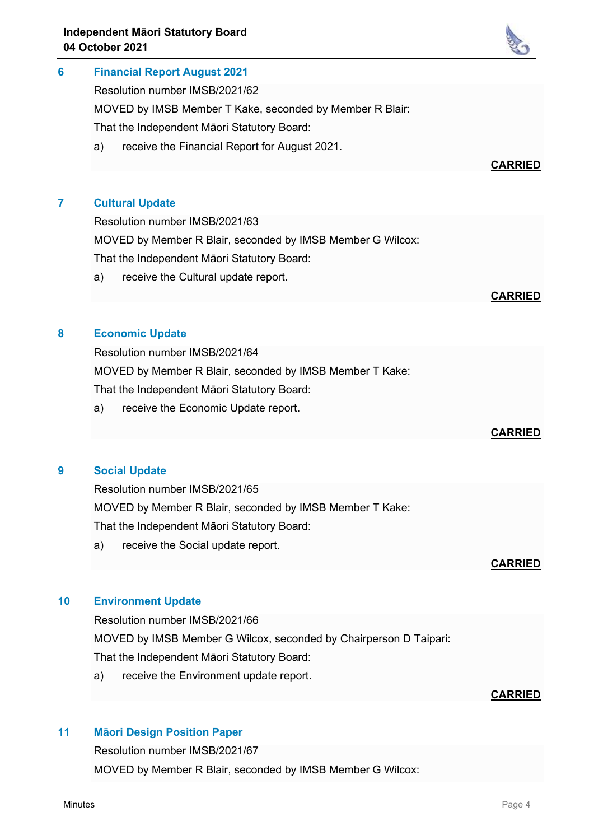# **6 Financial Report August 2021**

Resolution number IMSB/2021/62

MOVED by IMSB Member T Kake, seconded by Member R Blair:

That the Independent Māori Statutory Board:

a) receive the Financial Report for August 2021.

# **7 Cultural Update**

Resolution number IMSB/2021/63 MOVED by Member R Blair, seconded by IMSB Member G Wilcox: That the Independent Māori Statutory Board:

a) receive the Cultural update report.

#### **CARRIED**

# **8 Economic Update**

Resolution number IMSB/2021/64

MOVED by Member R Blair, seconded by IMSB Member T Kake:

That the Independent Māori Statutory Board:

a) receive the Economic Update report.

#### **9 Social Update**

Resolution number IMSB/2021/65

MOVED by Member R Blair, seconded by IMSB Member T Kake:

That the Independent Māori Statutory Board:

a) receive the Social update report.

#### **10 Environment Update**

Resolution number IMSB/2021/66 MOVED by IMSB Member G Wilcox, seconded by Chairperson D Taipari: That the Independent Māori Statutory Board:

a) receive the Environment update report.

#### **CARRIED**

# **11 Māori Design Position Paper**

Resolution number IMSB/2021/67

MOVED by Member R Blair, seconded by IMSB Member G Wilcox:



# **CARRIED**

**CARRIED**

**CARRIED**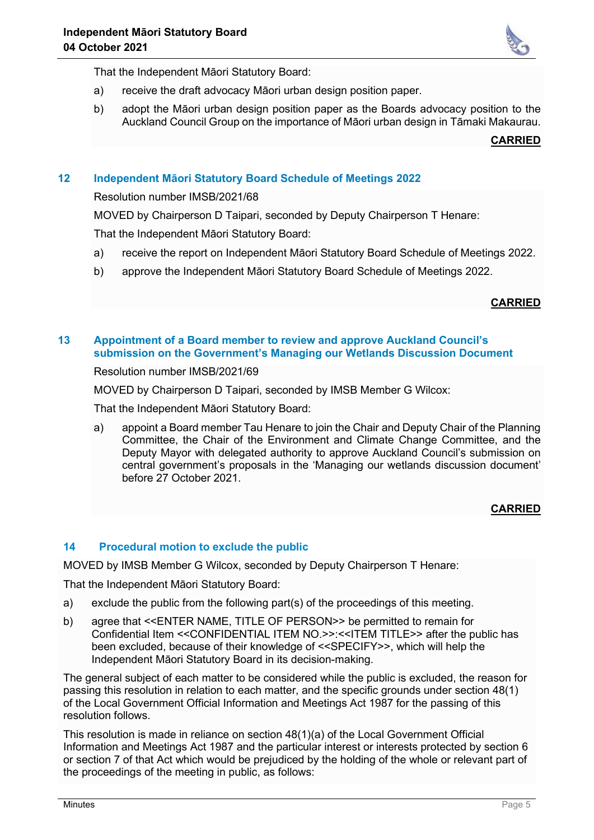

That the Independent Māori Statutory Board:

- a) receive the draft advocacy Māori urban design position paper.
- b) adopt the Māori urban design position paper as the Boards advocacy position to the Auckland Council Group on the importance of Māori urban design in Tāmaki Makaurau.

**CARRIED**

# **12 Independent Māori Statutory Board Schedule of Meetings 2022**

Resolution number IMSB/2021/68

MOVED by Chairperson D Taipari, seconded by Deputy Chairperson T Henare:

That the Independent Māori Statutory Board:

- a) receive the report on Independent Māori Statutory Board Schedule of Meetings 2022.
- b) approve the Independent Māori Statutory Board Schedule of Meetings 2022.

#### **CARRIED**

#### **13 Appointment of a Board member to review and approve Auckland Council's submission on the Government's Managing our Wetlands Discussion Document**

Resolution number IMSB/2021/69

MOVED by Chairperson D Taipari, seconded by IMSB Member G Wilcox:

That the Independent Māori Statutory Board:

a) appoint a Board member Tau Henare to join the Chair and Deputy Chair of the Planning Committee, the Chair of the Environment and Climate Change Committee, and the Deputy Mayor with delegated authority to approve Auckland Council's submission on central government's proposals in the 'Managing our wetlands discussion document' before 27 October 2021.

#### **CARRIED**

#### **14 Procedural motion to exclude the public**

MOVED by IMSB Member G Wilcox, seconded by Deputy Chairperson T Henare:

That the Independent Māori Statutory Board:

- a) exclude the public from the following part(s) of the proceedings of this meeting.
- b) agree that <<ENTER NAME, TITLE OF PERSON>> be permitted to remain for Confidential Item <<CONFIDENTIAL ITEM NO.>>:<<ITEM TITLE>> after the public has been excluded, because of their knowledge of <<SPECIFY>>, which will help the Independent Māori Statutory Board in its decision-making.

The general subject of each matter to be considered while the public is excluded, the reason for passing this resolution in relation to each matter, and the specific grounds under section 48(1) of the Local Government Official Information and Meetings Act 1987 for the passing of this resolution follows.

This resolution is made in reliance on section 48(1)(a) of the Local Government Official Information and Meetings Act 1987 and the particular interest or interests protected by section 6 or section 7 of that Act which would be prejudiced by the holding of the whole or relevant part of the proceedings of the meeting in public, as follows: